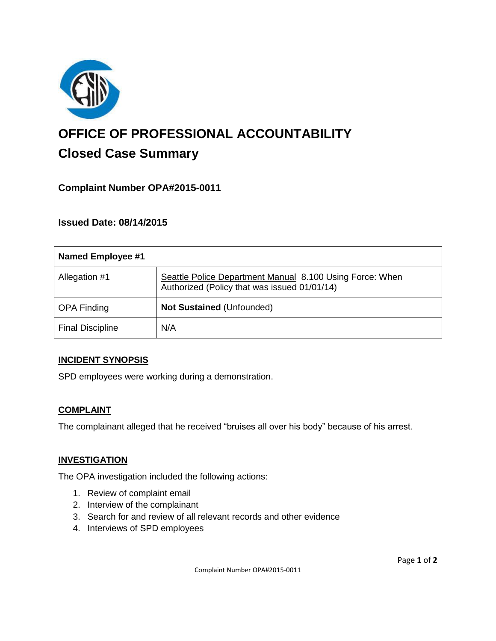

# **OFFICE OF PROFESSIONAL ACCOUNTABILITY Closed Case Summary**

# **Complaint Number OPA#2015-0011**

## **Issued Date: 08/14/2015**

| Named Employee #1       |                                                                                                          |
|-------------------------|----------------------------------------------------------------------------------------------------------|
| Allegation #1           | Seattle Police Department Manual 8.100 Using Force: When<br>Authorized (Policy that was issued 01/01/14) |
| <b>OPA Finding</b>      | <b>Not Sustained (Unfounded)</b>                                                                         |
| <b>Final Discipline</b> | N/A                                                                                                      |

### **INCIDENT SYNOPSIS**

SPD employees were working during a demonstration.

### **COMPLAINT**

The complainant alleged that he received "bruises all over his body" because of his arrest.

#### **INVESTIGATION**

The OPA investigation included the following actions:

- 1. Review of complaint email
- 2. Interview of the complainant
- 3. Search for and review of all relevant records and other evidence
- 4. Interviews of SPD employees